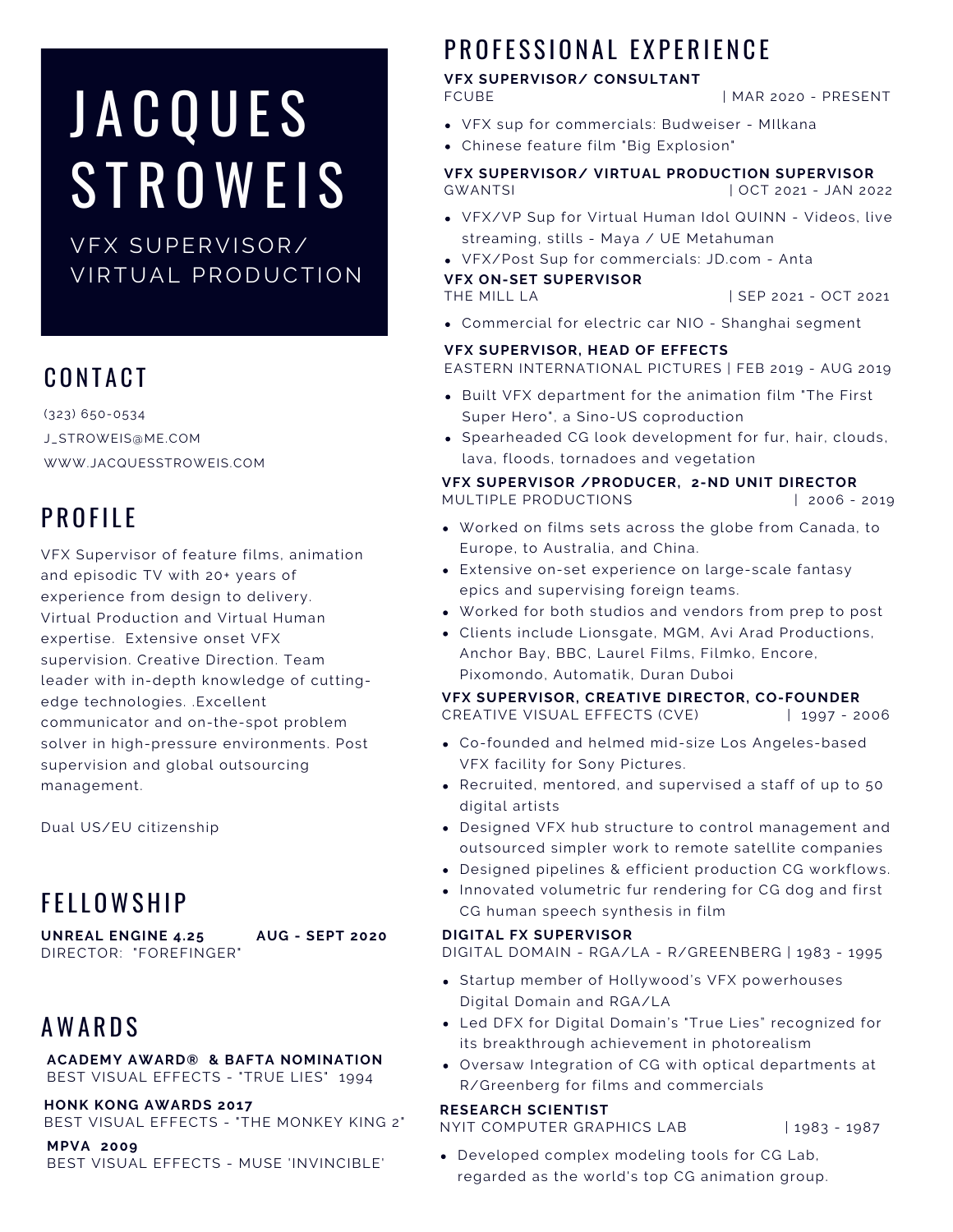## **JACQUES STROWEIS**

VFX SUPERVISOR/ VIRTUAL PRODUCTION

## CONTACT

(323) 650-0534 J\_STROWEIS@ME.COM WWW.JACQUESSTROWEIS.COM

## PROFILE

VFX Supervisor of feature films, animation and episodic TV with 20+ years of experience from design to delivery. Virtual Production and Virtual Human expertise. Extensive onset VFX supervision. Creative Direction. Team leader with in-depth knowledge of cuttingedge technologies. .Excellent communicator and on-the-spot problem solver in high-pressure environments. Post supervision and global outsourcing management.

Dual US/EU citizenship

## **FELLOWSHIP**

**UNREAL ENGINE 4.25 AUG - SEPT 2020** DIRECTOR: "FOREFINGER"

## **AWARDS**

**ACADEMY AWARD® & BAFTA NOMINATION** BEST VISUAL EFFECTS - "TRUE LIES" 1994

**HONK KONG AWARDS 2017** BEST VISUAL EFFECTS - "THE MONKEY KING 2"

**MPVA 2009** BEST VISUAL EFFECTS - MUSE 'INVINCIBLE'

## PROFFSSIONAL EXPERIENCE

### **VFX SUPERVISOR/ CONSULTANT**

| MAR 2020 - PRESENT

- VFX sup for commercials: Budweiser MIlkana
- Chinese feature film "Big Explosion"

**VFX SUPERVISOR/ VIRTUAL PRODUCTION SUPERVISOR** GWANTSI | OCT 2021 - JAN 2022

- VFX/VP Sup for Virtual Human Idol QUINN Videos, live streaming, stills - Maya / UE Metahuman
- VFX/Post Sup for commercials: JD.com Anta

**VFX ON-SET SUPERVISOR**

| SEP 2021 - OCT 2021

Commercial for electric car NIO - Shanghai segment

#### **VFX SUPERVISOR, HEAD OF EFFECTS**

EASTERN INTERNATIONAL PICTURES | FEB 2019 - AUG 2019

- Built VFX department for the animation film "The First Super Hero", a Sino-US coproduction
- Spearheaded CG look development for fur, hair, clouds, lava, floods, tornadoes and vegetation

#### **VFX SUPERVISOR /PRODUCER, 2-ND UNIT DIRECTOR** MULTIPLE PRODUCTIONS | 2006 - 2019

- Worked on films sets across the globe from Canada, to Europe, to Australia, and China.
- Extensive on-set experience on large-scale fantasy epics and supervising foreign teams.
- Worked for both studios and vendors from prep to post
- Clients include Lionsgate, MGM, Avi Arad Productions, Anchor Bay, BBC, Laurel Films, Filmko, Encore, Pixomondo, Automatik, Duran Duboi

#### **VFX SUPERVISOR, CREATIVE DIRECTOR, CO-FOUNDER**

CREATIVE VISUAL EFFECTS (CVE) | 1997 - 2006

- Co-founded and helmed mid-size Los Angeles-based VFX facility for Sony Pictures.
- Recruited, mentored, and supervised a staff of up to 50 digital artists
- Designed VFX hub structure to control management and outsourced simpler work to remote satellite companies
- Designed pipelines & efficient production CG workflows.
- Innovated volumetric fur rendering for CG dog and first CG human speech synthesis in film

#### **DIGITAL FX SUPERVISOR**

DIGITAL DOMAIN - RGA/LA - R/GREENBERG | 1983 - 1995

- Startup member of Hollywood's VFX powerhouses Digital Domain and RGA/LA
- Led DFX for Digital Domain's "True Lies" recognized for its breakthrough achievement in photorealism
- Oversaw Integration of CG with optical departments at R/Greenberg for films and commercials

#### **RESEARCH SCIENTIST**

NYIT COMPUTER GRAPHICS LAB | 1983 - 1987

Developed complex modeling tools for CG Lab, regarded as the world's top CG animation group.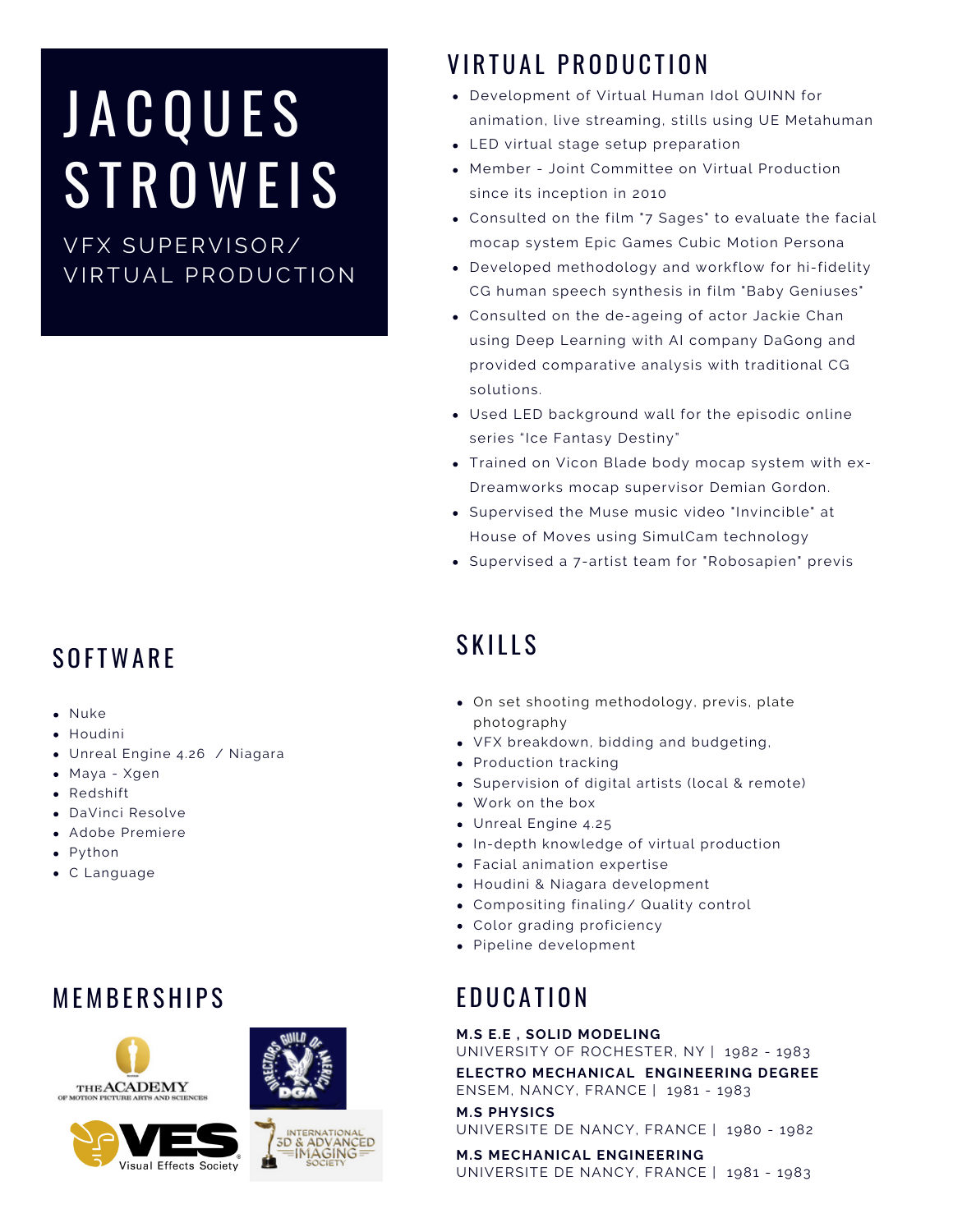# **JACQUES STROWEIS**

VFX SUPERVISOR/ VIRTUAL PRODUCTION

## **SOFTWARF**

- Nuke
- Houdini
- Unreal Engine 4.26 / Niagara
- Maya Xgen
- Redshift
- DaVinci Resolve
- Adobe Premiere
- Python
- C Language

## **MEMBERSHIPS**







## VIRTUAL PRODUCTION

- Development of Virtual Human Idol QUINN for animation, live streaming, stills using UE Metahuman
- LED virtual stage setup preparation
- Member Joint Committee on Virtual Production since its inception in 2010
- Consulted on the film "7 Sages" to evaluate the facial mocap system Epic Games Cubic Motion Persona
- Developed methodology and workflow for hi-fidelity CG human speech synthesis in film "Baby Geniuses"
- Consulted on the de-ageing of actor Jackie Chan using Deep Learning with AI company DaGong and provided comparative analysis with traditional CG solutions.
- Used LED background wall for the episodic online series "Ice Fantasy Destiny"
- Trained on Vicon Blade body mocap system with ex-Dreamworks mocap supervisor Demian Gordon.
- Supervised the Muse music video "Invincible" at House of Moves using SimulCam technology
- Supervised a 7-artist team for "Robosapien" previs

## **SKILLS**

- On set shooting methodology, previs, plate photography
- VFX breakdown, bidding and budgeting,
- Production tracking
- Supervision of digital artists (local & remote)
- Work on the box
- Unreal Engine 4.25
- In-depth knowledge of virtual production
- Facial animation expertise
- Houdini & Niagara development
- Compositing finaling/ Quality control
- Color grading proficiency
- Pipeline development

## **F D U C A T I O N**

#### **M.S E.E , SOLID MODELING**

UNIVERSITY OF ROCHESTER, NY | 1982 - 1983

**ELECTRO MECHANICAL ENGINEERING DEGREE** ENSEM, NANCY, FRANCE | 1981 - 1983

**M.S PHYSICS** UNIVERSITE DE NANCY, FRANCE | 1980 - 1982

**M.S MECHANICAL ENGINEERING** UNIVERSITE DE NANCY, FRANCE | 1981 - 1983